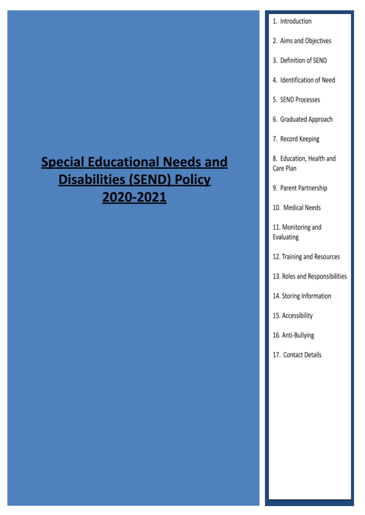# **Special Educational Needs and Disabilities (SEND) Policy** 2020-2021

#### 1. Introduction

- 2. Aims and Objectives
- 3. Definition of SEND
- 4. Identification of Need
- 5. SEND Processes
- 6. Graduated Approach
- 7. Record Keeping

8. Education, Health and Care Plan

9. Parent Partnership

10. Medical Needs

11. Monitoring and Evaluating

- 12. Training and Resources
- 13. Roles and Responsibilities
- 14. Storing Information
- 15. Accessibility
- 16. Anti-Bullying
- 17. Contact Details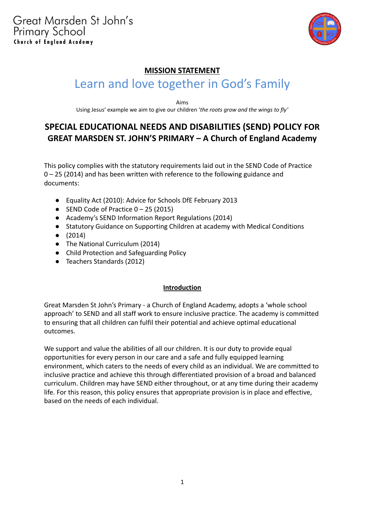

## **MISSION STATEMENT** Learn and love together in God's Family

Aims

Using Jesus' example we aim to give our children '*the roots grow and the wings to fly'*

### **SPECIAL EDUCATIONAL NEEDS AND DISABILITIES (SEND) POLICY FOR GREAT MARSDEN ST. JOHN'S PRIMARY – A Church of England Academy**

This policy complies with the statutory requirements laid out in the SEND Code of Practice 0 – 25 (2014) and has been written with reference to the following guidance and documents:

- Equality Act (2010): Advice for Schools DfE February 2013
- SEND Code of Practice 0 25 (2015)
- Academy's SEND Information Report Regulations (2014)
- Statutory Guidance on Supporting Children at academy with Medical Conditions
- (2014)
- The National Curriculum (2014)
- Child Protection and Safeguarding Policy
- Teachers Standards (2012)

#### **Introduction**

Great Marsden St John's Primary - a Church of England Academy, adopts a 'whole school approach' to SEND and all staff work to ensure inclusive practice. The academy is committed to ensuring that all children can fulfil their potential and achieve optimal educational outcomes.

We support and value the abilities of all our children. It is our duty to provide equal opportunities for every person in our care and a safe and fully equipped learning environment, which caters to the needs of every child as an individual. We are committed to inclusive practice and achieve this through differentiated provision of a broad and balanced curriculum. Children may have SEND either throughout, or at any time during their academy life. For this reason, this policy ensures that appropriate provision is in place and effective, based on the needs of each individual.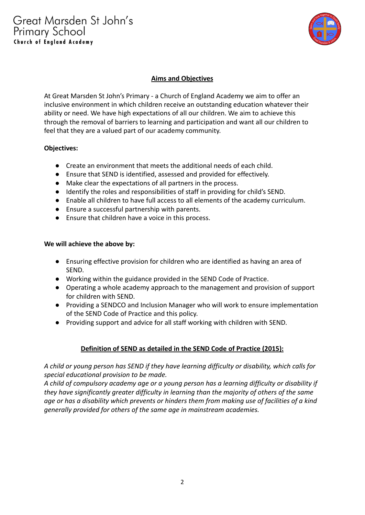

#### **Aims and Objectives**

At Great Marsden St John's Primary - a Church of England Academy we aim to offer an inclusive environment in which children receive an outstanding education whatever their ability or need. We have high expectations of all our children. We aim to achieve this through the removal of barriers to learning and participation and want all our children to feel that they are a valued part of our academy community.

#### **Objectives:**

- Create an environment that meets the additional needs of each child.
- Ensure that SEND is identified, assessed and provided for effectively.
- Make clear the expectations of all partners in the process.
- Identify the roles and responsibilities of staff in providing for child's SEND.
- Enable all children to have full access to all elements of the academy curriculum.
- Ensure a successful partnership with parents.
- Ensure that children have a voice in this process.

#### **We will achieve the above by:**

- Ensuring effective provision for children who are identified as having an area of SEND.
- Working within the guidance provided in the SEND Code of Practice.
- Operating a whole academy approach to the management and provision of support for children with SEND.
- Providing a SENDCO and Inclusion Manager who will work to ensure implementation of the SEND Code of Practice and this policy.
- Providing support and advice for all staff working with children with SEND.

#### **Definition of SEND as detailed in the SEND Code of Practice (2015):**

*A child or young person has SEND if they have learning difficulty or disability, which calls for special educational provision to be made.*

*A child of compulsory academy age or a young person has a learning difficulty or disability if they have significantly greater difficulty in learning than the majority of others of the same age or has a disability which prevents or hinders them from making use of facilities of a kind generally provided for others of the same age in mainstream academies.*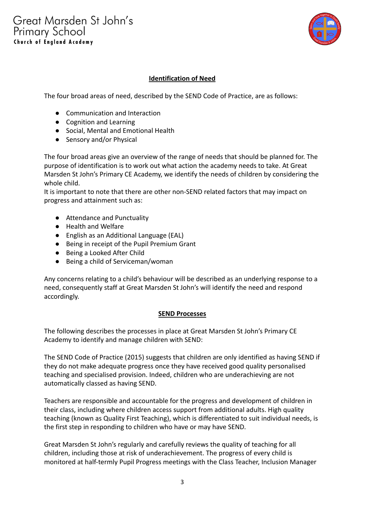

#### **Identification of Need**

The four broad areas of need, described by the SEND Code of Practice, are as follows:

- Communication and Interaction
- Cognition and Learning
- Social, Mental and Emotional Health
- Sensory and/or Physical

The four broad areas give an overview of the range of needs that should be planned for. The purpose of identification is to work out what action the academy needs to take. At Great Marsden St John's Primary CE Academy, we identify the needs of children by considering the whole child.

It is important to note that there are other non-SEND related factors that may impact on progress and attainment such as:

- Attendance and Punctuality
- Health and Welfare
- English as an Additional Language (EAL)
- Being in receipt of the Pupil Premium Grant
- Being a Looked After Child
- Being a child of Serviceman/woman

Any concerns relating to a child's behaviour will be described as an underlying response to a need, consequently staff at Great Marsden St John's will identify the need and respond accordingly.

#### **SEND Processes**

The following describes the processes in place at Great Marsden St John's Primary CE Academy to identify and manage children with SEND:

The SEND Code of Practice (2015) suggests that children are only identified as having SEND if they do not make adequate progress once they have received good quality personalised teaching and specialised provision. Indeed, children who are underachieving are not automatically classed as having SEND.

Teachers are responsible and accountable for the progress and development of children in their class, including where children access support from additional adults. High quality teaching (known as Quality First Teaching), which is differentiated to suit individual needs, is the first step in responding to children who have or may have SEND.

Great Marsden St John's regularly and carefully reviews the quality of teaching for all children, including those at risk of underachievement. The progress of every child is monitored at half-termly Pupil Progress meetings with the Class Teacher, Inclusion Manager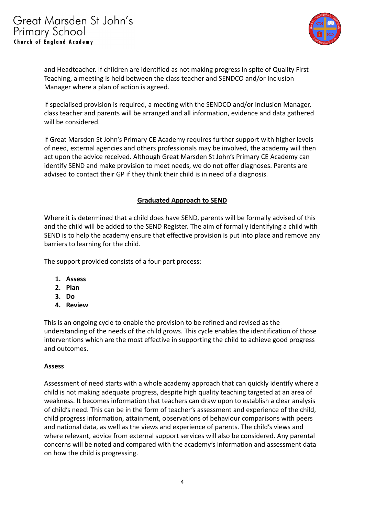

and Headteacher. If children are identified as not making progress in spite of Quality First Teaching, a meeting is held between the class teacher and SENDCO and/or Inclusion Manager where a plan of action is agreed.

If specialised provision is required, a meeting with the SENDCO and/or Inclusion Manager, class teacher and parents will be arranged and all information, evidence and data gathered will be considered.

If Great Marsden St John's Primary CE Academy requires further support with higher levels of need, external agencies and others professionals may be involved, the academy will then act upon the advice received. Although Great Marsden St John's Primary CE Academy can identify SEND and make provision to meet needs, we do not offer diagnoses. Parents are advised to contact their GP if they think their child is in need of a diagnosis.

#### **Graduated Approach to SEND**

Where it is determined that a child does have SEND, parents will be formally advised of this and the child will be added to the SEND Register. The aim of formally identifying a child with SEND is to help the academy ensure that effective provision is put into place and remove any barriers to learning for the child.

The support provided consists of a four-part process:

- **1. Assess**
- **2. Plan**
- **3. Do**
- **4. Review**

This is an ongoing cycle to enable the provision to be refined and revised as the understanding of the needs of the child grows. This cycle enables the identification of those interventions which are the most effective in supporting the child to achieve good progress and outcomes.

#### **Assess**

Assessment of need starts with a whole academy approach that can quickly identify where a child is not making adequate progress, despite high quality teaching targeted at an area of weakness. It becomes information that teachers can draw upon to establish a clear analysis of child's need. This can be in the form of teacher's assessment and experience of the child, child progress information, attainment, observations of behaviour comparisons with peers and national data, as well as the views and experience of parents. The child's views and where relevant, advice from external support services will also be considered. Any parental concerns will be noted and compared with the academy's information and assessment data on how the child is progressing.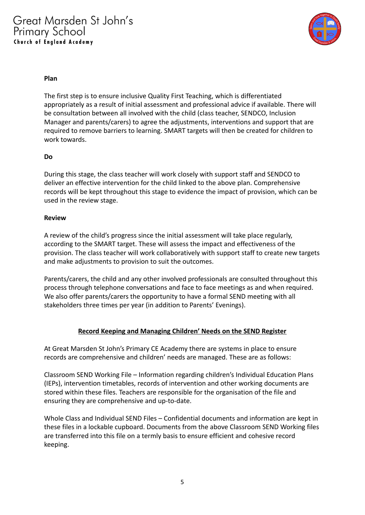

#### **Plan**

The first step is to ensure inclusive Quality First Teaching, which is differentiated appropriately as a result of initial assessment and professional advice if available. There will be consultation between all involved with the child (class teacher, SENDCO, Inclusion Manager and parents/carers) to agree the adjustments, interventions and support that are required to remove barriers to learning. SMART targets will then be created for children to work towards.

#### **Do**

During this stage, the class teacher will work closely with support staff and SENDCO to deliver an effective intervention for the child linked to the above plan. Comprehensive records will be kept throughout this stage to evidence the impact of provision, which can be used in the review stage.

#### **Review**

A review of the child's progress since the initial assessment will take place regularly, according to the SMART target. These will assess the impact and effectiveness of the provision. The class teacher will work collaboratively with support staff to create new targets and make adjustments to provision to suit the outcomes.

Parents/carers, the child and any other involved professionals are consulted throughout this process through telephone conversations and face to face meetings as and when required. We also offer parents/carers the opportunity to have a formal SEND meeting with all stakeholders three times per year (in addition to Parents' Evenings).

#### **Record Keeping and Managing Children' Needs on the SEND Register**

At Great Marsden St John's Primary CE Academy there are systems in place to ensure records are comprehensive and children' needs are managed. These are as follows:

Classroom SEND Working File – Information regarding children's Individual Education Plans (IEPs), intervention timetables, records of intervention and other working documents are stored within these files. Teachers are responsible for the organisation of the file and ensuring they are comprehensive and up-to-date.

Whole Class and Individual SEND Files – Confidential documents and information are kept in these files in a lockable cupboard. Documents from the above Classroom SEND Working files are transferred into this file on a termly basis to ensure efficient and cohesive record keeping.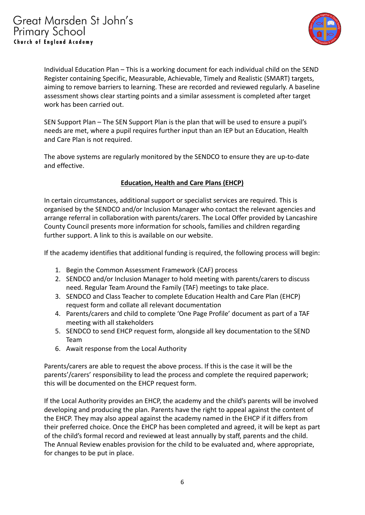

Individual Education Plan – This is a working document for each individual child on the SEND Register containing Specific, Measurable, Achievable, Timely and Realistic (SMART) targets, aiming to remove barriers to learning. These are recorded and reviewed regularly. A baseline assessment shows clear starting points and a similar assessment is completed after target work has been carried out.

SEN Support Plan – The SEN Support Plan is the plan that will be used to ensure a pupil's needs are met, where a pupil requires further input than an IEP but an Education, Health and Care Plan is not required.

The above systems are regularly monitored by the SENDCO to ensure they are up-to-date and effective.

#### **Education, Health and Care Plans (EHCP)**

In certain circumstances, additional support or specialist services are required. This is organised by the SENDCO and/or Inclusion Manager who contact the relevant agencies and arrange referral in collaboration with parents/carers. The Local Offer provided by Lancashire County Council presents more information for schools, families and children regarding further support. A link to this is available on our website.

If the academy identifies that additional funding is required, the following process will begin:

- 1. Begin the Common Assessment Framework (CAF) process
- 2. SENDCO and/or Inclusion Manager to hold meeting with parents/carers to discuss need. Regular Team Around the Family (TAF) meetings to take place.
- 3. SENDCO and Class Teacher to complete Education Health and Care Plan (EHCP) request form and collate all relevant documentation
- 4. Parents/carers and child to complete 'One Page Profile' document as part of a TAF meeting with all stakeholders
- 5. SENDCO to send EHCP request form, alongside all key documentation to the SEND Team
- 6. Await response from the Local Authority

Parents/carers are able to request the above process. If this is the case it will be the parents'/carers' responsibility to lead the process and complete the required paperwork; this will be documented on the EHCP request form.

If the Local Authority provides an EHCP, the academy and the child's parents will be involved developing and producing the plan. Parents have the right to appeal against the content of the EHCP. They may also appeal against the academy named in the EHCP if it differs from their preferred choice. Once the EHCP has been completed and agreed, it will be kept as part of the child's formal record and reviewed at least annually by staff, parents and the child. The Annual Review enables provision for the child to be evaluated and, where appropriate, for changes to be put in place.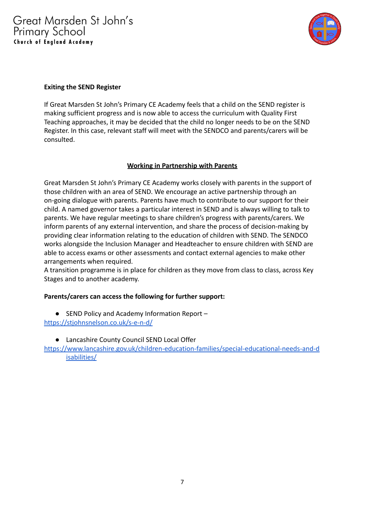

#### **Exiting the SEND Register**

If Great Marsden St John's Primary CE Academy feels that a child on the SEND register is making sufficient progress and is now able to access the curriculum with Quality First Teaching approaches, it may be decided that the child no longer needs to be on the SEND Register. In this case, relevant staff will meet with the SENDCO and parents/carers will be consulted.

#### **Working in Partnership with Parents**

Great Marsden St John's Primary CE Academy works closely with parents in the support of those children with an area of SEND. We encourage an active partnership through an on-going dialogue with parents. Parents have much to contribute to our support for their child. A named governor takes a particular interest in SEND and is always willing to talk to parents. We have regular meetings to share children's progress with parents/carers. We inform parents of any external intervention, and share the process of decision-making by providing clear information relating to the education of children with SEND. The SENDCO works alongside the Inclusion Manager and Headteacher to ensure children with SEND are able to access exams or other assessments and contact external agencies to make other arrangements when required.

A transition programme is in place for children as they move from class to class, across Key Stages and to another academy.

#### **Parents/carers can access the following for further support:**

- SEND Policy and Academy Information Report <https://stjohnsnelson.co.uk/s-e-n-d/>
	- Lancashire County Council SEND Local Offer
- [https://www.lancashire.gov.uk/children-education-families/special-educational-needs-and-d](https://www.lancashire.gov.uk/children-education-families/special-educational-needs-and-disabilities/) [isabilities/](https://www.lancashire.gov.uk/children-education-families/special-educational-needs-and-disabilities/)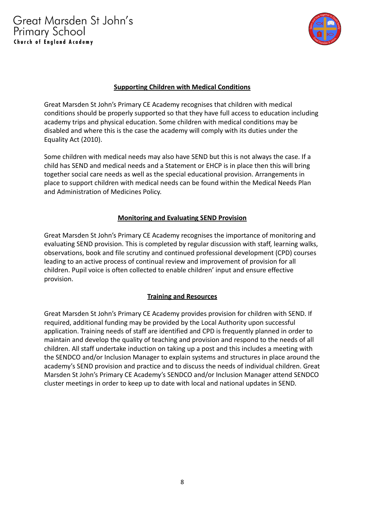Great Marsden St John's **Primary School** Church of England Academy



#### **Supporting Children with Medical Conditions**

Great Marsden St John's Primary CE Academy recognises that children with medical conditions should be properly supported so that they have full access to education including academy trips and physical education. Some children with medical conditions may be disabled and where this is the case the academy will comply with its duties under the Equality Act (2010).

Some children with medical needs may also have SEND but this is not always the case. If a child has SEND and medical needs and a Statement or EHCP is in place then this will bring together social care needs as well as the special educational provision. Arrangements in place to support children with medical needs can be found within the Medical Needs Plan and Administration of Medicines Policy.

#### **Monitoring and Evaluating SEND Provision**

Great Marsden St John's Primary CE Academy recognises the importance of monitoring and evaluating SEND provision. This is completed by regular discussion with staff, learning walks, observations, book and file scrutiny and continued professional development (CPD) courses leading to an active process of continual review and improvement of provision for all children. Pupil voice is often collected to enable children' input and ensure effective provision.

#### **Training and Resources**

Great Marsden St John's Primary CE Academy provides provision for children with SEND. If required, additional funding may be provided by the Local Authority upon successful application. Training needs of staff are identified and CPD is frequently planned in order to maintain and develop the quality of teaching and provision and respond to the needs of all children. All staff undertake induction on taking up a post and this includes a meeting with the SENDCO and/or Inclusion Manager to explain systems and structures in place around the academy's SEND provision and practice and to discuss the needs of individual children. Great Marsden St John's Primary CE Academy's SENDCO and/or Inclusion Manager attend SENDCO cluster meetings in order to keep up to date with local and national updates in SEND.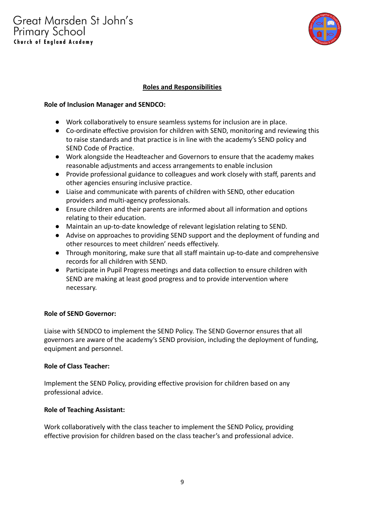

#### **Roles and Responsibilities**

#### **Role of Inclusion Manager and SENDCO:**

- Work collaboratively to ensure seamless systems for inclusion are in place.
- Co-ordinate effective provision for children with SEND, monitoring and reviewing this to raise standards and that practice is in line with the academy's SEND policy and SEND Code of Practice.
- Work alongside the Headteacher and Governors to ensure that the academy makes reasonable adjustments and access arrangements to enable inclusion
- Provide professional guidance to colleagues and work closely with staff, parents and other agencies ensuring inclusive practice.
- Liaise and communicate with parents of children with SEND, other education providers and multi-agency professionals.
- Ensure children and their parents are informed about all information and options relating to their education.
- Maintain an up-to-date knowledge of relevant legislation relating to SEND.
- Advise on approaches to providing SEND support and the deployment of funding and other resources to meet children' needs effectively.
- Through monitoring, make sure that all staff maintain up-to-date and comprehensive records for all children with SEND.
- Participate in Pupil Progress meetings and data collection to ensure children with SEND are making at least good progress and to provide intervention where necessary.

#### **Role of SEND Governor:**

Liaise with SENDCO to implement the SEND Policy. The SEND Governor ensures that all governors are aware of the academy's SEND provision, including the deployment of funding, equipment and personnel.

#### **Role of Class Teacher:**

Implement the SEND Policy, providing effective provision for children based on any professional advice.

#### **Role of Teaching Assistant:**

Work collaboratively with the class teacher to implement the SEND Policy, providing effective provision for children based on the class teacher's and professional advice.